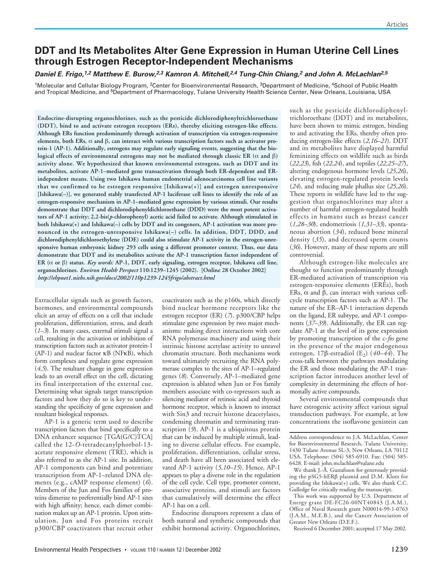# **DDT and Its Metabolites Alter Gene Expression in Human Uterine Cell Lines through Estrogen Receptor-Independent Mechanisms**

# *Daniel E. Frigo,1,2 Matthew E. Burow,2,3 Kamron A. Mitchell,2,4 Tung-Chin Chiang,<sup>2</sup> and John A. McLachlan2,5*

<sup>1</sup>Molecular and Cellular Biology Program, <sup>2</sup>Center for Bioenvironmental Research, <sup>3</sup>Department of Medicine, <sup>4</sup>School of Public Health and Tropical Medicine, and 5Department of Pharmacology, Tulane University Health Science Center, New Orleans, Louisiana, USA

**Endocrine-disrupting organochlorines, such as the pesticide dichlorodiphenyltrichloroethane (DDT), bind to and activate estrogen receptors (ERs), thereby eliciting estrogen-like effects. Although ERs function predominantly through activation of transcription via estrogen-responsive elements, both ERs,** α **and** β**, can interact with various transcription factors such as activator protein-1 (AP-1). Additionally, estrogens may regulate early signaling events, suggesting that the biological effects of environmental estrogens may not be mediated through classic ER (**α **and** β) **activity alone. We hypothesized that known environmental estrogens, such as DDT and its metabolites, activate AP-1–mediated gene transactivation through both ER-dependent and ERindependent means. Using two Ishikawa human endometrial adenocarcinoma cell line variants that we confirmed to be estrogen responsive [Ishikawa(+)] and estrogen unresponsive [Ishikawa(–)], we generated stably transfected AP-1 luciferase cell lines to identify the role of an estrogen-responsive mechanism in AP-1–mediated gene expression by various stimuli. Our results demonstrate that DDT and dichlorodiphenyldichloroethane (DDD) were the most potent activators of AP-1 activity; 2,2-bis(***p***-chlorophenyl) acetic acid failed to activate. Although stimulated in both Ishikawa(+) and Ishikawa(–) cells by DDT and its congeners, AP-1 activation was more pronounced in the estrogen-unresponsive Ishikawa(–) cells. In addition, DDT, DDD, and dichlorodiphenyldichloroethylene (DDE) could also stimulate AP-1 activity in the estrogen-unresponsive human embryonic kidney 293 cells using a different promoter context. Thus, our data demonstrate that DDT and its metabolites activate the AP-1 transcription factor independent of ER (**α **or** β**) status.** *Key words:* **AP-1, DDT, early signaling, estrogen receptor, Ishikawa cell line, organochlorines.** *Environ Health Perspect* **110:1239–1245 (2002). [Online 28 October 2002]** *http://ehpnet1.niehs.nih.gov/docs/2002/110p1239-1245frigo/abstract.html*

Extracellular signals such as growth factors, hormones, and environmental compounds elicit an array of effects on a cell that include proliferation, differentiation, stress, and death (*1–3*). In many cases, external stimuli signal a cell, resulting in the activation or inhibition of transcription factors such as activator protein-1  $(AP-1)$  and nuclear factor  $KB$  (NF $\overrightarrow{KB}$ ), which form complexes and regulate gene expression (*4,5*). The resultant change in gene expression leads to an overall effect on the cell, dictating its final interpretation of the external cue. Determining what signals target transcription factors and how they do so is key to understanding the specificity of gene expression and resultant biological responses.

AP-1 is a generic term used to describe transcription factors that bind specifically to a DNA enhancer sequence [TGA(G/C)TCA] called the 12-*O*-tetradecanylphorbol-13 acetate responsive element (TRE), which is also referred to as the AP-1 site. In addition, AP-1 components can bind and potentiate transcription from AP-1–related DNA elements (e.g., cAMP response element) (*6*). Members of the Jun and Fos families of proteins dimerize to preferentially bind AP-1 sites with high affinity; hence, each dimer combination makes up an AP-1 protein. Upon stimulation, Jun and Fos proteins recruit p300/CBP coactivators that recruit other

coactivators such as the p160s, which directly bind nuclear hormone receptors like the estrogen receptor (ER) (*7*). p300/CBP helps stimulate gene expression by two major mechanisms: making direct interactions with core RNA polymerase machinery and using their intrinsic histone acetylase activity to unravel chromatin structure. Both mechanisms work toward ultimately recruiting the RNA polymerase complex to the sites of AP-1–regulated genes (*8*). Conversely, AP-1–mediated gene expression is ablated when Jun or Fos family members associate with co-repressors such as silencing mediator of retinoic acid and thyroid hormone receptor, which is known to interact with Sin3 and recruit histone deacetylases, condensing chromatin and terminating transcription (*9*). AP-1 is a ubiquitous protein that can be induced by multiple stimuli, leading to diverse cellular effects. For example, proliferation, differentiation, cellular stress, and death have all been associated with elevated AP-1 activity (*5,10–15*). Hence, AP-1 appears to play a diverse role in the regulation of the cell cycle. Cell type, promoter context, associative proteins, and stimuli are factors that cumulatively will determine the effect AP-1 has on a cell.

Endocrine disruptors represent a class of both natural and synthetic compounds that exhibit hormonal activity. Organochlorines,

such as the pesticide dichlorodiphenyltrichloroethane (DDT) and its metabolites, have been shown to mimic estrogen, binding to and activating the ERs, thereby often producing estrogen-like effects (*2,16–21*). DDT and its metabolites have displayed harmful feminizing effects on wildlife such as birds (*22,23*), fish (*22,24*), and reptiles (*22,25–27*), altering endogenous hormone levels (*25,26*), elevating estrogen-regulated protein levels (*24*), and reducing male phallus size (*25,26*). These reports in wildlife have led to the suggestion that organochlorines may alter a number of harmful estrogen-regulated health effects in humans such as breast cancer (*1,28–30*), endometriosis (*1,31–33*), spontaneous abortion (*34*), reduced bone mineral density (*35*), and decreased sperm counts (*36*). However, many of these reports are still controversial.

Although estrogen-like molecules are thought to function predominantly through ER-mediated activation of transcription via estrogen-responsive elements (EREs), both ERs, α and β, can interact with various cellcycle transcription factors such as AP-1. The nature of the ER–AP-1 interaction depends on the ligand, ER subtype, and AP-1 components (*37–39*). Additionally, the ER can regulate AP-1 at the level of its gene expression by promoting transcription of the c-*fos* gene in the presence of the major endogenous estrogen, 17β-estradiol  $(E_2)$  (40–44). The cross-talk between the pathways modulating the ER and those modulating the AP-1 transcription factor introduces another level of complexity in determining the effects of hormonally active compounds.

Several environmental compounds that have estrogenic activity affect various signal transduction pathways. For example, at low concentrations the isoflavone genistein can

Received 6 December 2001; accepted 17 May 2002.

Address correspondence to J.A. McLachlan, Center for Bioenvironmental Research, Tulane University, 1430 Tulane Avenue SL-3, New Orleans, LA 70112 USA. Telephone: (504) 585-6910. Fax: (504) 585- 6428. E-mail: john.mclachlan@tulane.edu

We thank J.-Å. Gustafsson for generously proviiding the pSG5-hERβ plasmid and D.M. Klotz for providing the Ishikawa(+) cells. We also thank C.C. Gulledge for critically reading the manuscript.

This work was supported by U.S. Department of Energy grant DE-FC26-00NT40843 (J.A.M.), Office of Naval Research grant N00014-99-1-0763 (J.A.M., M.E.B.), and the Cancer Association of Greater New Orleans (D.E.F.).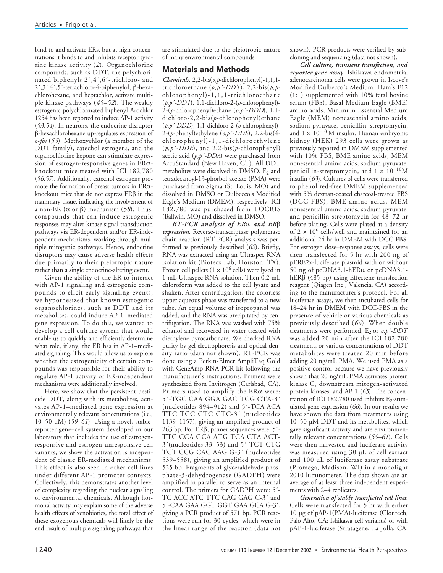bind to and activate ERs, but at high concentrations it binds to and inhibits receptor tyrosine kinase activity (*2*). Organochlorine compounds, such as DDT, the polychlorinated biphenyls 2´,4´,6´-trichloro- and 2´,3´,4´,5´-tetrachloro-4-biphenylol, β-hexachlorohexane, and heptachlor, activate multiple kinase pathways (*45–52*). The weakly estrogenic polychlorinated biphenyl Arochlor 1254 has been reported to induce AP-1 activity (*53,54*). In neurons, the endocrine disruptor β-hexachlorohexane up-regulates expression of c-*fos* (*55*). Methoxychlor (a member of the DDT family), catechol estrogens, and the organochlorine kepone can stimulate expression of estrogen-responsive genes in  $ER\alpha$ knockout mice treated with ICI 182,780 (*56,57*). Additionally, catechol estrogens promote the formation of breast tumors in ERαknockout mice that do not express ERβ in the mammary tissue, indicating the involvement of a non-ER (α or β) mechanism (*58*). Thus, compounds that can induce estrogenic responses may alter kinase signal transduction pathways via ER-dependent and/or ER-independent mechanisms, working through multiple mitogenic pathways. Hence, endocrine disruptors may cause adverse health effects due primarily to their pleiotropic nature rather than a single endocrine-altering event.

Given the ability of the ER to interact with AP-1 signaling and estrogenic compounds to elicit early signaling events, we hypothesized that known estrogenic organochlorines, such as DDT and its metabolites, could induce AP-1–mediated gene expression. To do this, we wanted to develop a cell culture system that would enable us to quickly and efficiently determine what role, if any, the ER has in AP-1–mediated signaling. This would allow us to explore whether the estrogenicity of certain compounds was responsible for their ability to regulate AP-1 activity or ER-independent mechanisms were additionally involved.

Here, we show that the persistent pesticide DDT, along with its metabolites, activates AP-1–mediated gene expression at environmentally relevant concentrations (i.e., 10–50 µM) (*59–61*). Using a novel, stablereporter gene–cell system developed in our laboratory that includes the use of estrogenresponsive and estrogen-unresponsive cell variants, we show the activation is independent of classic ER-mediated mechanisms. This effect is also seen in other cell lines under different AP-1 promoter contexts. Collectively, this demonstrates another level of complexity regarding the nuclear signaling of environmental chemicals. Although hormonal activity may explain some of the adverse health effects of xenobiotics, the total effect of these exogenous chemicals will likely be the end result of multiple signaling pathways that

are stimulated due to the pleiotropic nature of many environmental compounds.

# **Materials and Methods**

*Chemicals.* 2,2-bis(*o,p*-dichlorophenyl)-1,1,1 trichloroethane (*o,p´-DDT*), 2,2-bis(*p,p*chlorophenyl)-1,1,1-trichloroethane (*p,p´-DDT*), 1,1-dichloro-2-(*o*-chlorophenyl)- 2-(*p*-chlorophenyl)ethane (*o,p´-DDD*), 1,1 dichloro-2,2-bis(*p*-chlorophenyl)ethane (*p,p´-DDD*), 1,1-dichloro-2-(*o*-chlorophenyl)- 2-(*p*-phenyl)ethylene (*o,p´-DDE*), 2,2-bis(4 chlorophenyl)-1,1-dichloroethylene (*p,p´-DDE*), and 2,2-bis(*p*-chlorophenyl) acetic acid (*p,p´-DDA*) were purchased from AccuStandard (New Haven, CT). All DDT metabolites were dissolved in DMSO.  $E<sub>2</sub>$  and tetradecanoyl-13-phorbol acetate (PMA) were purchased from Sigma (St. Louis, MO) and dissolved in DMSO or Dulbecco's Modified Eagle's Medium (DMEM), respectively. ICI 182,780 was purchased from TOCRIS (Ballwin, MO) and dissolved in DMSO.

*RT-PCR analysis of ER*α *and ER*β *expression.* Reverse-transcriptase polymerase chain reaction (RT-PCR) analysis was performed as previously described (*62*). Briefly, RNA was extracted using an Ultraspec RNA isolation kit (Biotecx Lab, Houston, TX). Frozen cell pellets  $(1 \times 10^6 \text{ cells})$  were lysed in 1 mL Ultraspec RNA solution. Then 0.2 mL chloroform was added to the cell lysate and shaken. After centrifugation, the colorless upper aqueous phase was transferred to a new tube. An equal volume of isopropanol was added, and the RNA was precipitated by centrifugation. The RNA was washed with 75% ethanol and recovered in water treated with diethylene pyrocarbonate. We checked RNA purity by gel electrophoresis and optical density ratio (data not shown). RT-PCR was done using a Perkin-Elmer AmpliTaq Gold with GeneAmp RNA PCR kit following the manufacturer's instructions. Primers were synthesized from Invitrogen (Carlsbad, CA). Primers used to amplify the ERα were: 5´-TGC CAA GGA GAC TCG CTA-3´ (nucleotides 894–912) and 5´-TCA ACA TTC TCC CTC CTC-3´ (nucleotides 1139–1157), giving an amplified product of 263 bp. For ERβ, primer sequences were: 5´- TTC CCA GCA ATG TCA CTA ACT-3´(nucleotides 33–53) and 5´-TCT CTG TCT CCG CAC AAG G-3´ (nucleotides 539–558), giving an amplified product of 525 bp. Fragments of glyceraldehyde phosphate-3-dehydrogenase (GADPH) were amplified in parallel to serve as an internal control. The primers for GADPH were: 5´- TC ACC ATC TTC CAG GAG C-3´ and 5´-CAA GAA GGT GGT GAA GCA G-3´, giving a PCR product of 571 bp. PCR reactions were run for 30 cycles, which were in the linear range of the reaction (data not

shown). PCR products were verified by subcloning and sequencing (data not shown).

*Cell culture, transient transfection, and reporter gene assay.* Ishikawa endometrial adenocarcinoma cells were grown in Iscove's Modified Dulbecco's Medium: Ham's F12 (1:1) supplemented with 10% fetal bovine serum (FBS), Basal Medium Eagle (BME) amino acids, Minimum Essential Medium Eagle (MEM) nonessential amino acids, sodium pyruvate, penicillin–streptomycin, and  $1 \times 10^{-10}$  M insulin. Human embryonic kidney (HEK) 293 cells were grown as previously reported in DMEM supplemented with 10% FBS, BME amino acids, MEM nonessential amino acids, sodium pyruvate, penicillin-streptomycin, and  $1 \times 10^{-10}$ M insulin (*63*). Cultures of cells were transferred to phenol red-free DMEM supplemented with 5% dextran-coated charcoal-treated FBS (DCC-FBS), BME amino acids, MEM nonessential amino acids, sodium pyruvate, and penicillin-streptomycin for 48–72 hr before plating. Cells were plated at a density of  $2 \times 10^6$  cells/well and maintained for an additional 24 hr in DMEM with DCC-FBS. For estrogen dose–response assays, cells were then transfected for 5 hr with 200 ng of pERE2x-luciferase plasmid with or without 50 ng of pcDNA3.1-hER $\alpha$  or pcDNA3.1hERβ (485 bp) using Effectene transfection reagent (Qiagen Inc., Valencia, CA) according to the manufacturer's protocol. For all luciferase assays, we then incubated cells for 18–24 hr in DMEM with DCC-FBS in the presence of vehicle or various chemicals as previously described (*64*). When double treatments were performed,  $E_2$  or  $\rho$ ,  $\rho$ '-DDT was added 20 min after the ICI 182,780 treatment, or various concentrations of DDT metabolites were treated 20 min before adding 20 ng/mL PMA. We used PMA as a positive control because we have previously shown that 20 ng/mL PMA activates protein kinase C, downstream mitogen-activated protein kinases, and AP-1 (*65*). The concentration of ICI 182,780 used inhibits  $E_2$ -stimulated gene expression (*66*). In our results we have shown the data from treatments using 10–50 µM DDT and its metabolites, which gave significant activity and are environmentally relevant concentrations (*59–61*). Cells were then harvested and luciferase activity was measured using 30 µL of cell extract and 100 µL of luciferase assay substrate (Promega, Madison, WI) in a monolight 2010 luminometer. The data shown are an average of at least three independent experiments with 2–4 replicates.

*Generation of stably transfected cell lines.* Cells were transfected for 5 hr with either 10 µg of pAP-1(PMA)-luciferase (Clontech, Palo Alto, CA; Ishikawa cell variants) or with pAP-1-luciferase (Stratagene, La Jolla, CA;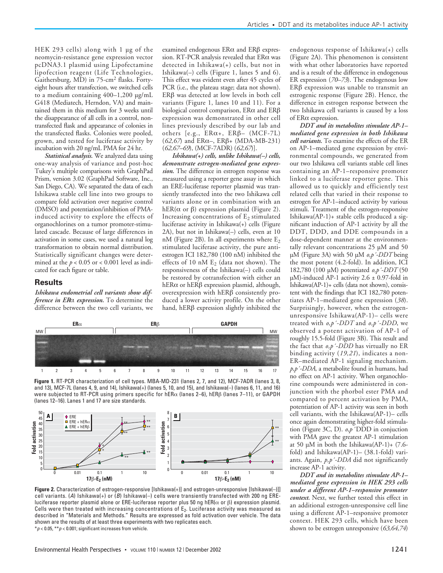HEK 293 cells) along with 1 µg of the neomycin-resistance gene expression vector pcDNA3.1 plasmid using Lipofectamine lipofection reagent (Life Technologies, Gaithersburg, MD) in 75-cm<sup>2</sup> flasks. Fortyeight hours after transfection, we switched cells to a medium containing 400–1,200 µg/mL G418 (Mediatech, Herndon, VA) and maintained them in this medium for 3 weeks until the disappearance of all cells in a control, nontransfected flask and appearance of colonies in the transfected flasks. Colonies were pooled, grown, and tested for luciferase activity by incubation with 20 ng/mL PMA for 24 hr.

*Statistical analysis.* We analyzed data using one-way analysis of variance and post-hoc Tukey's multiple comparisons with GraphPad Prism, version 3.02 (GraphPad Software, Inc., San Diego, CA). We separated the data of each Ishikawa stable cell line into two groups to compare fold activation over negative control (DMSO) and potentiation/inhibition of PMAinduced activity to explore the effects of organochlorines on a tumor promoter-stimulated cascade. Because of large differences in activation in some cases, we used a natural log transformation to obtain normal distribution. Statistically significant changes were determined at the  $p < 0.05$  or  $< 0.001$  level as indicated for each figure or table.

### **Results**

*Ishikawa endometrial cell variants show difference in ER*α *expression.* To determine the difference between the two cell variants, we examined endogenous ERα and ERβ expression. RT-PCR analysis revealed that ERα was detected in Ishikawa(+) cells, but not in Ishikawa(–) cells (Figure 1, lanes 5 and 6). This effect was evident even after 45 cycles of PCR (i.e., the plateau stage; data not shown). ERβ was detected at low levels in both cell variants (Figure 1, lanes 10 and 11). For a biological control comparison, ERα and ERβ expression was demonstrated in other cell lines previously described by our lab and others  $[e.g., ER\alpha+, ER\beta- (MCF-7L)$ (*62,67*) and ERα–, ERβ+ (MDA-MB-231) (*62,67–69*), (MCF-7ADR) (*62,67*)].

*Ishikawa(+) cells, unlike Ishikawa(–) cells, demonstrate estrogen-mediated gene expression.* The difference in estrogen response was measured using a reporter gene assay in which an ERE-luciferase reporter plasmid was transiently transfected into the two Ishikawa cell variants alone or in combination with an hER( $\alpha$  or  $\beta$ ) expression plasmid (Figure 2). Increasing concentrations of  $E_2$  stimulated luciferase activity in Ishikawa(+) cells (Figure 2A), but not in Ishikawa(–) cells, even at 10 nM (Figure 2B). In all experiments where  $E_2$ stimulated luciferase activity, the pure antiestrogen ICI 182,780 (100 nM) inhibited the effects of 10 nM  $E_2$  (data not shown). The responsiveness of the Ishikawa(–) cells could be restored by cotransfection with either an hERα or hERβ expression plasmid, although, overexpression with hERβ consistently produced a lower activity profile. On the other hand, hERβ expression slightly inhibited the



**Figure 1.** RT-PCR characterization of cell types. MBA-MD-231 (lanes 2, 7, and 12), MCF-7ADR (lanes 3, 8, and 13), MCF-7L (lanes 4, 9, and 14), Ishikawa(+) (lanes 5, 10, and 15), and Ishikawa(–) (lanes 6, 11, and 16) were subjected to RT-PCR using primers specific for hERα (lanes 2–6), hERβ (lanes 7–11), or GAPDH (lanes 12–16). Lanes 1 and 17 are size standards.



**Figure 2.** Characterization of estrogen-responsive [Ishikawa(+)] and estrogen-unresponsive [Ishikawa(–)]] cell variants. (*A*) Ishikawa(+) or (*B*) Ishikawa(–) cells were transiently transfected with 200 ng EREluciferase reporter plasmid alone or ERE-luciferase reporter plus 50 ng hER(α or β) expression plasmid. Cells were then treated with increasing concentrations of  $E_2$ . Luciferase activity was measured as described in "Materials and Methods." Results are expressed as fold activation over vehicle. The data shown are the results of at least three experiments with two replicates each. \**p* < 0.05, \*\**p* < 0.001; significant increases from vehicle.

endogenous response of Ishikawa(+) cells (Figure 2A). This phenomenon is consistent with what other laboratories have reported and is a result of the difference in endogenous ER expression (*70–73*). The endogenous low ERβ expression was unable to transmit an estrogenic response (Figure 2B). Hence, the difference in estrogen response between the two Ishikawa cell variants is caused by a loss of ERα expression.

*DDT and its metabolites stimulate AP-1– mediated gene expression in both Ishikawa cell variants.* To examine the effects of the ER on AP-1–mediated gene expression by environmental compounds, we generated from our two Ishikawa cell variants stable cell lines containing an AP-1–responsive promoter linked to a luciferase reporter gene. This allowed us to quickly and efficiently test related cells that varied in their response to estrogen for AP-1–induced activity by various stimuli. Treatment of the estrogen-responsive Ishikawa(AP-1)+ stable cells produced a significant induction of AP-1 activity by all the DDT, DDD, and DDE compounds in a dose-dependent manner at the environmentally relevant concentrations 25 µM and 50 µM (Figure 3A) with 50 µM *o,p´-DDT* being the most potent (4.2-fold). In addition, ICI 182,780 (100 µM) potentiated *o,p´-DDT* (50  $\mu$ M)-induced AP-1 activity 2.6 ± 0.97-fold in Ishikawa(AP-1)+ cells (data not shown), consistent with the findings that ICI 182,780 potentiates AP-1–mediated gene expression (*38*). Surprisingly, however, when the estrogenunresponsive Ishikawa(AP-1)– cells were treated with *o,p´-DDT* and *o,p´-DDD*, we observed a potent activation of AP-1 of roughly 15.5-fold (Figure 3B). This result and the fact that *o,p´-DDD* has virtually no ER binding activity (*19,21*), indicates a non-ER–mediated AP-1 signaling mechanism. *p,p´-DDA*, a metabolite found in humans, had no effect on AP-1 activity. When organochlorine compounds were administered in conjunction with the phorbol ester PMA and compared to percent activation by PMA, potentiation of AP-1 activity was seen in both cell variants, with the Ishikawa(AP-1)– cells once again demonstrating higher-fold stimulation (Figure 3C, D). *o,p* ´DDD in conjuction with PMA gave the greatest AP-1 stimulation at 50 µM in both the Ishikawa(AP-1)+ (7.6 fold) and Ishikawa(AP-1)– (38.1-fold) variants. Again, *p,p´-DDA* did not significantly increase AP-1 activity.

*DDT and its metabolites stimulate AP-1– mediated gene expression in HEK 293 cells under a different AP-1–responsive promoter context.* Next, we further tested this effect in an additional estrogen-unresponsive cell line using a different AP-1–responsive promoter context. HEK 293 cells, which have been shown to be estrogen unresponsive (*63,64,74*)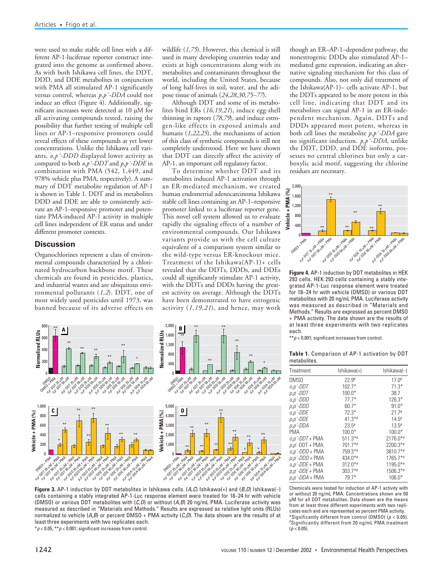were used to make stable cell lines with a different AP-1-luciferase reporter construct integrated into the genome as confirmed above. As with both Ishikawa cell lines, the DDT, DDD, and DDE metabolites in conjunction with PMA all stimulated AP-1 significantly versus control, whereas *p,p´-DDA* could not induce an effect (Figure  $4$ ). Additionally, significant increases were detected at 10 µM for all activating compounds tested, raising the possibility that further testing of multiple cell lines or AP-1–responsive promoters could reveal effects of these compounds at yet lower concentrations. Unlike the Ishikawa cell variants, *o,p´-DDD* displayed lower activity as compared to both *o,p´-DDT* and *p,p´-DDE* in combination with PMA (542, 1,449, and 978% vehicle plus PMA, respectively). A summary of DDT metabolite regulation of AP-1 is shown in Table 1. DDT and its metabolites DDD and DDE are able to consistently activate an AP-1–responsive promoter and potentiate PMA-induced AP-1 activity in multiple cell lines independent of ER status and under different promoter contexts.

# **Discussion**

Organochlorines represent a class of environmental compounds characterized by a chlorinated hydrocarbon backbone motif. These chemicals are found in pesticides, plastics, and industrial wastes and are ubiquitous environmental pollutants (*1,2*). DDT, one of most widely used pesticides until 1973, was banned because of its adverse effects on

wildlife (*1,75*). However, this chemical is still used in many developing countries today and exists at high concentrations along with its metabolites and contaminants throughout the world, including the United States, because of long half-lives in soil, water, and the adipose tissue of animals (*24,28,30,75–77*).

Although DDT and some of its metabolites bind ERs (*16,19,21*), induce egg-shell thinning in raptors (*78,79*), and induce estrogen-like effects in exposed animals and humans (*1,22,25*), the mechanisms of action of this class of synthetic compounds is still not completely understood. Here we have shown that DDT can directly affect the activity of AP-1, an important cell regulatory factor.

To determine whether DDT and its metabolites induced AP-1 activation through an ER-mediated mechanism, we created human endometrial adenocarcinoma Ishikawa stable cell lines containing an AP-1–responsive promoter linked to a luciferase reporter gene. This novel cell system allowed us to evaluate rapidly the signaling effects of a number of environmental compounds. Our Ishikawa variants provide us with the cell culture equivalent of a comparison system similar to the wild-type versus ER-knockout mice. Treatment of the Ishikawa(AP-1)+ cells revealed that the DDTs, DDDs, and DDEs could all significantly stimulate AP-1 activity, with the DDTs and DDDs having the greatest activity on average. Although the DDTs have been demonstrated to have estrogenic activity (*1,19,21*), and hence, may work

though an ER–AP-1–dependent pathway, the nonestrogenic DDDs also stimulated AP-1– mediated gene expression, indicating an alternative signaling mechanism for this class of compounds. Also, not only did treatment of the Ishikawa(AP-1)– cells activate AP-1, but the DDTs appeared to be more potent in this cell line, indicating that DDT and its metabolites can signal AP-1 in an ER-independent mechanism. Again, DDTs and DDDs appeared most potent, whereas in both cell lines the metabolite *p,p´-DDA* gave no significant induction. *p,p´-DDA*, unlike the DDT, DDD, and DDE isoforms, possesses no central chlorines but only a carboxylic acid motif, suggesting the chlorine residues are necessary.



**Figure 4.** AP-1 induction by DDT metabolites in HEK 293 cells. HEK 293 cells containing a stably integrated AP-1-Luc response element were treated for 18–24 hr with vehicle (DMSO) or various DDT metabolites with 20 ng/mL PMA. Luciferase activity was measured as described in "Materials and Methods." Results are expressed as percent DMSO + PMA activity. The data shown are the results of at least three experiments with two replicates each.

\*\**p* < 0.001; significant increases from control.

**Table 1.** Comparison of AP-1 activation by DDT metabolites.

| Treatment           | Ishikawa(+) | Ishikawa(-) |
|---------------------|-------------|-------------|
| DMS0                | $22.9*$     | $17.0*$     |
| o,p´-DDT            | $102.7*$    | $71.3*$     |
| p,p'-DDT            | $100.0*$    | 38.7        |
| o,p´-DDD            | $77.7*$     | $126.3*$    |
| p,p <sup>-DDD</sup> | $60.7*$     | $91.0*$     |
| o,p <sup>-DDE</sup> | $72.3*$     | $21.7*$     |
| p,p'-DDE            | $41.3**$    | $14.5*$     |
| p,p´-DDA            | $23.5*$     | $13.5^{*}$  |
| PMA                 | $100.0*$    | $100.0*$    |
| o,p´-DDT + PMA      | $511.3**$   | $2176.0**$  |
| $p.p'$ -DDT + PMA   | $701.7**$   | $2200.3**$  |
| o.p´-DDD + PMA      | 759.3*#     | $3810.7**$  |
| $p, p'$ -DDD + PMA  | $434.0**$   | $1765.7**$  |
| o.p´-DDE + PMA      | $312.0**$   | $1195.0**$  |
| p,p´-DDE + PMA      | $303.7**$   | 1506.3*#    |
| $p, p - DDA + PMA$  | $79.7*$     | $106.0*$    |

Chemicals were tested for induction of AP-1 activity with or without 20 ng/mL PMA. Concentrations shown are 50 µM for all DDT metabolites. Data shown are the means from at least three different experiments with two replicates each and are represented as percent PMA activity. \*Significantly different from control (DMSO) (*p* < 0.05). #Significantly different from 20 ng/mL PMA treatment  $(p < 0.05)$ 

#### 800 \*\* \*\* \*\* **A B** Normalized RLUs **Normalized RLUs Normalized RLUs** 1,600 \*\* 600 \*\* 1,200 \*\* \*\* 400 \*\* \*\* 800 \*\* \*\* \*  $200$ \*\* 400 \* **P.** P. P. P. P. P. D. 0 0 OMSO 4 PMA OM<sub>SO</sub> **SPMP** 25 W *o*,*p*'-DDT 50 µM *p*,*p*'-DDT 25 µM **p,**<br>p,p'-DDT 50 p,pDP,pDD<br>p,p'-DDT 50 p,p'-DDDD 50 p,p *p*,*p*'-DDD 50 µM *p*,*p*'-DDD 25 µM **P**, p (p)<br>D, p (p) (p)<br>D, p (p) (p) (p) **p,**<br>*p,p*'-DDE 50 µM<br>p,p'-DDE 50 µM *p*,*p*'-DDA 10 µM *p*,*p*'-DDA 50 µM OMSO 4 PMA OMS<sub>O</sub> **PORTAL 25 WAS p**, *p*,p'-DDT 25 µM<br>DT 25 µM 25 12 µM **Ph**<br>DT-SODD 50 50 µM<br>0,p'-DDD 50 pM p,p'-DD,p'-DD,p'-DD,p'-DD,<br>p'-DDDDD-DD,pD,p'-DD,p<br>p'-DDDDD-DD,p'-DD,p'-DD,p *p,p'-*DDE 25 µM *p,p'-*DDE 50 µM *p,p'-*DDA 10 µM *p,p'-*DDA 50 µM 1,000 5,000 \*\* \*\* **C D** \*\* 0 **Vehicle + PMA (%) Vehicle + PMA (%)** 4,000 800 3,000 600 \*\* \*\* \*\* \*\* 2,000 \*\* 400 \*\* \*\* \*\* \*\* \*\* \* 200 1,000 \*\* \*\* \*\* <del>\*</del> \*\* \* \* OMSO + PMA DMSO + PMA *o,p'-*DDT 25 <sup>µ</sup>M + PMA *p,p'-*DDT 25 µM + PMA *o,p'-*DDT 50 <sup>µ</sup>M + PMA *p,p'-*DDT 50 µM + PMA *o,p'-*DDD 25 <sup>µ</sup>M + PMA *o,p'-*DDD 50 <sup>µ</sup>M + PMA **P,p** - P,p - P,p - P,p - P,p - P,p - P,p - P,p - P,p - P,p - P,p - P,p - P,p - P,p - P,p - P,p - P,p - P,p - P,p<br>P,p - P,p - P,p - P,p - P,p - P,p - P,p - P,p - P,p - P,p - P,p - P,p - P,p - P,p - P,p - P,p - P,p - P,p *o,p'-*DDE 25 <sup>µ</sup>M + PMA *o,p'-*DDE 50 <sup>µ</sup>M + PMA *p,p'-*DDE 25 µM + PMA *p,p'-*DDE 50 µM + PMA *p,p'-*DDA 10 µM + PMA *p,p'-*DDA 50 µM + PMA **ON DO 25 UM 25 µM 25 µM + PMA**<br>OMBO 25 µM + PMA + PMA<br>O,p O,p + PMA + PMA + PMA<br>O,p O,p + PMA + PMA + PMA *p,p'-*DDT 25 µM + PMA *p,p'-*DDT 50 µM + PMA *o,p'-*DDD 50 <sup>µ</sup>M + PMA *p,p'-*DDD 50 µM + PMA *p,p'-*DDD 25 µM + PMA *p,p'-*DDE 25 µM + PMA *p,p'-*DDE 50 µM + PMA *p,p'-*DDA 10 µM + PMA *p,p'-*DDA 50 µM + PMA **O,P** as the part of the **CONTRACTOR O,P'-DO E 25 HM + PMA**

2,000

**Figure 3.** AP-1 induction by DDT metabolites in Ishikawa cells. (*A,C*) Ishikawa(+) and (*B,D*) Ishikawa(–) cells containing a stably integrated AP-1-Luc response element were treated for 18–24 hr with vehicle (DMSO) or various DDT metabolites with (*C,D*) or without (*A,B*) 20 ng/mL PMA. Luciferase activity was measured as described in "Materials and Methods." Results are expressed as relative light units (RLUs) normalized to vehicle (*A,B*) or percent DMSO + PMA activity (*C,D*). The data shown are the results of at least three experiments with two replicates each. \**p* < 0.05, \*\**p* < 0.001; significant increases from control.

1242 VOLUME <sup>110</sup><sup>|</sup> NUMBER <sup>12</sup><sup>|</sup> December 2002 • Environmental Health Perspectives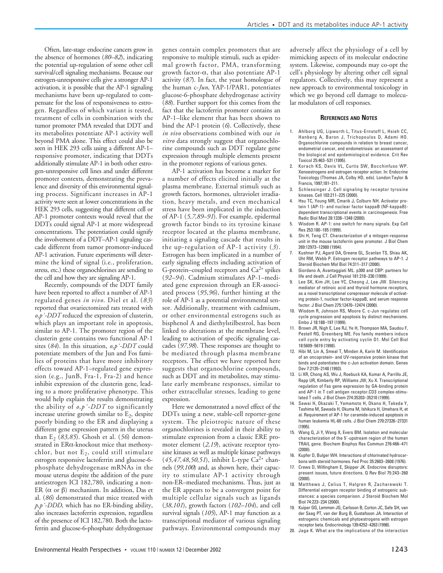Often, late-stage endocrine cancers grow in the absence of hormones (*80–82*), indicating the potential up-regulation of some other cell survival/cell signaling mechanisms. Because our estrogen-unresponsive cells give a stronger AP-1 activation, it is possible that the AP-1 signaling mechanisms have been up-regulated to compensate for the loss of responsiveness to estrogen. Regardless of which variant is tested, treatment of cells in combination with the tumor promoter PMA revealed that DDT and its metabolites potentiate AP-1 activity well beyond PMA alone. This effect could also be seen in HEK 293 cells using a different AP-1– responsive promoter, indicating that DDTs additionally stimulate AP-1 in both other estrogen-unresponsive cell lines and under different promoter contexts, demonstrating the prevalence and diversity of this environmental signaling process. Significant increases in AP-1 activity were seen at lower concentrations in the HEK 293 cells, suggesting that different cell or AP-1 promoter contexts would reveal that the DDTs could signal AP-1 at more widespread concentrations. The potentiation could signify the involvement of a DDT–AP-1 signaling cascade different from tumor promoter-induced AP-1 activation. Future experiments will determine the kind of signal (i.e., proliferation, stress, etc.) these organochlorines are sending to the cell and how they are signaling AP-1.

Recently, compounds of the DDT family have been reported to affect a number of AP-1 regulated genes *in vivo*. Diel et al. (*83*) reported that ovariectomized rats treated with *o,p´-DDT* reduced the expression of clusterin, which plays an important role in apoptosis, similar to AP-1. The promoter region of the clusterin gene contains two functional AP-1 sites (*84*). In this situation, *o,p´-DDT* could potentiate members of the Jun and Fos families of proteins that have more inhibitory effects toward AP-1–regulated gene expression (e.g., JunB, Fra-1, Fra-2) and hence inhibit expression of the clusterin gene, leading to a more proliferative phenotype. This would help explain the results demonstrating the ability of *o,p´-DDT* to significantly increase uterine growth similar to  $E<sub>2</sub>$ , despite poorly binding to the ER and displaying a different gene expression pattern in the uterus than E2 (*83,85*). Ghosh et al. (*56*) demonstrated in ERα-knockout mice that methoxychlor, but not  $E_2$ , could still stimulate estrogen responsive lactoferrin and glucose-6 phosphate dehydrogenase mRNAs in the mouse uterus despite the addition of the pure antiestrogen ICI 182,780, indicating a non-ER ( $\alpha$  or β) mechanism. In addition, Das et al. (*86*) demonstrated that mice treated with *p,p´-DDD*, which has no ER-binding ability, also increases lactoferrin expression, regardless of the presence of ICI 182,780. Both the lactoferrin and glucose-6-phosphate dehydrogenase

genes contain complex promoters that are responsive to multiple stimuli, such as epidermal growth factor, PMA, transforming growth factor- $\alpha$ , that also potentiate AP-1 activity (*87*). In fact, the yeast homologue of the human c-*Jun*, YAP-1/PAR1, potentiates glucose-6-phosphate dehydrogenase activity (*88*). Further support for this comes from the fact that the lactoferrin promoter contains an AP-1–like element that has been shown to bind the AP-1 protein (*6*). Collectively, these *in vivo* observations combined with our *in vitro* data strongly suggest that organochlorine compounds such as DDT regulate gene expression through multiple elements present in the promoter regions of various genes.

AP-1 activation has become a marker for a number of effects elicited initially at the plasma membrane. External stimuli such as growth factors, hormones, ultraviolet irradiation, heavy metals, and even mechanical stress have been implicated in the induction of AP-1 (*5,7,89–91*). For example, epidermal growth factor binds to its tyrosine kinase receptor located at the plasma membrane, initiating a signaling cascade that results in the up-regulation of AP-1 activity (*3*). Estrogen has been implicated in a number of early signaling effects including activation of G-protein–coupled receptors and  $Ca^{2+}$  spikes (*92–94*). Cadmium stimulates AP-1–mediated gene expression through an ER-associated process (*95,96*), further hinting at the role of AP-1 as a potential environmental sensor. Additionally, treatment with cadmium, or other environmental estrogens such as bisphenol A and diethylstilbestrol, has been linked to alterations at the membrane level, leading to activation of specific signaling cascades (*97,98*). These responses are thought to be mediated through plasma membrane receptors. The effect we have reported here suggests that organochlorine compounds, such as DDT and its metabolites, may stimulate early membrane responses, similar to other extracellular stresses, leading to gene expression.

Here we demonstrated a novel effect of the DDTs using a new, stable-cell reporter-gene system. The pleiotropic nature of these organochlorines is revealed in their ability to stimulate expression from a classic ERE promoter element (*2,19*), activate receptor tyrosine kinases as well as multiple kinase pathways (45,47,48,50,51), inhibit L-type Ca<sup>2+</sup> channels (*99,100*) and, as shown here, their capacity to stimulate AP-1 activity through non-ER–mediated mechanisms. Thus, just as the ER appears to be a convergent point for multiple cellular signals such as ligands (*38,101*), growth factors (*102–104*), and cell survival signals (*105*), AP-1 may function as a transcriptional mediator of various signaling pathways. Environmental compounds may adversely affect the physiology of a cell by mimicking aspects of its molecular endocrine system. Likewise, compounds may co-opt the cell's physiology by altering other cell signal regulators. Collectively, this may represent a new approach to environmental toxicology in which we go beyond cell damage to molecular modulators of cell responses.

#### **REFERENCES AND NOTES**

- 1. Ahlborg UG, Lipworth L, Titus-Ernstoff L, Hsieh CC, Hanberg A, Baron J, Trichopoulos D, Adami HO. Organochlorine compounds in relation to breast cancer, endometrial cancer, and endometriosis: an assessment of the biological and epidemiological evidence. Crit Rev Toxicol 25:463–531 (1995).
- 2. Korach KS, Davis VL, Curtis SW, Bocchinfuso WP. Xenoestrogens and estrogen receptor action. In: Endocrine Toxicology (Thomas JA, Colby HD, eds). London:Taylor & Francis, 1997;181–211.
- Schlessinger J. Cell signaling by receptor tyrosine kinases. Cell 103:211–225 (2000).
- 4. Hsu TC, Young MR, Cmarik J, Colburn NH. Activator protein 1 (AP-1)- and nuclear factor kappaB (NF-kappaB) dependent transcriptional events in carcinogenesis. Free Radic Biol Med 28:1338–1348 (2000).
- 5. Wisdom R. AP-1: one switch for many signals. Exp Cell Res 253:180–185 (1999).
- Shi H, Teng CT. Characterization of a mitogen-response unit in the mouse lactoferrin gene promoter. J Biol Chem 269:12973–12980 (1994).
- 7. Kushner PJ, Agard DA, Greene GL, Scanlan TS, Shiau AK, Uht RM, Webb P. Estrogen receptor pathways to AP-1. J Steroid Biochem Mol Biol 74:311–317 (2000).
- 8. Giordano A, Avantaggiati ML. p300 and CBP: partners for life and death. J Cell Physiol 181:218–230 (1999).
- 9. Lee SK, Kim JH, Lee YC, Cheong J, Lee JW. Silencing mediator of retinoic acid and thyroid hormone receptors, as a novel transcriptional corepressor molecule of activating protein-1, nuclear factor-kappaB, and serum response factor. J Biol Chem 275:12470–12474 (2000).
- 10. Wisdom R, Johnson RS, Moore C. c-Jun regulates cell cycle progression and apoptosis by distinct mechanisms. Embo J 18:188–197 (1999).
- 11. Brown JR, Nigh E, Lee RJ, Ye H, Thompson MA, Saudou F, Pestell RG, Greenberg ME. Fos family members induce cell cycle entry by activating cyclin D1. Mol Cell Biol 18:5609–5619 (1998).
- 12. Hibi M, Lin A, Smeal T, Minden A, Karin M. Identification of an oncoprotein- and UV-responsive protein kinase that binds and potentiates the c-Jun activation domain. Genes Dev 7:2135–2148 (1993).
- 13. Li XR, Chong AS, Wu J, Roebuck KA, Kumar A, Parrillo JE, Rapp UR, Kimberly RP, Williams JW, Xu X. Transcriptional regulation of Fas gene expression by GA-binding protein and AP-1 in T cell antigen receptor.CD3 complex-stimulated T cells. J Biol Chem 274:35203–35210 (1999).
- 14. Sawai H, Okazaki T, Yamamoto H, Okano H, Takeda Y, Tashima M, Sawada H, Okuma M, Ishikura H, Umehara H, et al. Requirement of AP-1 for ceramide-induced apoptosis in human leukemia HL-60 cells. J Biol Chem 270:27326–27331 (1995).
- 15. Wang Q, Ji Y, Wang X, Evers BM. Isolation and molecular characterization of the 5´-upstream region of the human TRAIL gene. Biochem Biophys Res Commun 276:466–471 (2000).
- 16. Kupfer D, Bulger WH. Interactions of chlorinated hydrocarbons with steroid hormones. Fed Proc 35:2603–2608 (1976).
- 17. Crews D, Willingham E, Skipper JK. Endocrine disruptors: present issues, future directions. Q Rev Biol 75:243–260 (2000).
- 18. Matthews J, Celius T, Halgren R, Zacharewski T. Differential estrogen receptor binding of estrogenic substances: a species comparison. J Steroid Biochem Mol Biol 74:223–234 (2000).
- 19. Kuiper GG, Lemmen JG, Carlsson B, Corton JC, Safe SH, van der Saag PT, van der Burg B, Gustafsson JA. Interaction of estrogenic chemicals and phytoestrogens with estrogen receptor beta. Endocrinology 139:4252–4263 (1998).
- 20. Jaga K. What are the implications of the interaction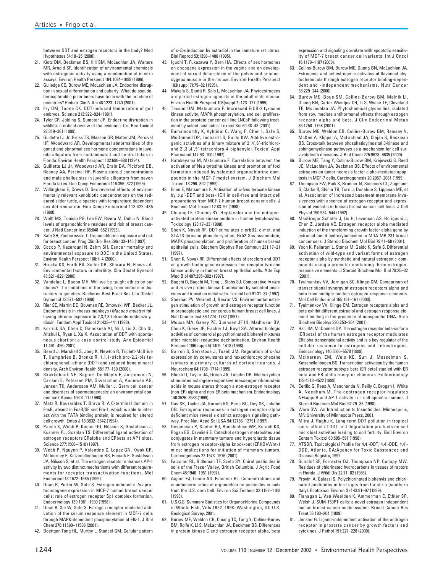between DDT and estrogen receptors in the body? Med Hypotheses 54:18–25 (2000).

- 21. Klotz DM, Beckman BS, Hill SM, McLachlan JA, Walters MR, Arnold SF. Identification of environmental chemicals with estrogenic activity using a combination of in vitro assays. Environ Health Perspect 104:1084–1089 (1996).
- 22. Gulledge CC, Burow ME, McLachlan JA. Endocrine disruption in sexual differentiation and puberty. What do pseudohermaphroditic polar bears have to do with the practice of pediatrics? Pediatr Clin N Am 48:1223–1240 (2001).
- 23. Fry DM, Toone CK. DDT-induced feminization of gull embryos. Science 213:922–924 (1981).
- 24. Tyler CR, Jobling S, Sumpter JP. Endocrine disruption in wildlife: a critical review of the evidence. Crit Rev Toxicol 28:319–361 (1998).
- 25. Guillette LJ Jr, Gross TS, Masson GR, Matter JM, Percival HF, Woodward AR. Developmental abnormalities of the gonad and abnormal sex hormone concentrations in juvenile alligators from contaminated and control lakes in Florida. Environ Health Perspect 102:680–688 (1994).
- 26. Guillette LJ Jr, Woodward AR, Crain DA, Pickford DB, Rooney AA, Percival HF. Plasma steroid concentrations and male phallus size in juvenile alligators from seven Florida lakes. Gen Comp Endocrinol 116:356–372 (1999).
- 27. Willingham E, Crews D. Sex reversal effects of environmentally relevant xenobiotic concentrations on the redeared slider turtle, a species with temperature-dependent sex determination. Gen Comp Endocrinol 113:429–435 (1999).
- 28. Wolff MS, Toniolo PG, Lee EW, Rivera M, Dubin N. Blood levels of organochlorine residues and risk of breast cancer. J Natl Cancer Inst 85:648–652 (1993).
- 29. Safe SH, Zacharewski T. Organochlorine exposure and risk for breast cancer. Prog Clin Biol Res 396:133–145 (1997).
- 30. Cocco P, Kazerouni N, Zahm SH. Cancer mortality and environmental exposure to DDE in the United States. Environ Health Perspect 108:1–4 (2000).
- 31. Hruska KS, Furth PA, Seifer DB, Sharara FI, Flaws JA. Environmental factors in infertility. Clin Obstet Gynecol 43:821–829 (2000).
- 32. Vandelac L, Bacon MH. Will we be taught ethics by our clones? The mutations of the living, from endocrine disruptors to genetics. Baillieres Best Pract Res Clin Obstet Gynaecol 13:571–592 (1999).
- 33. Rier SE, Martin DC, Bowman RE, Dmowski WP, Becker JL. Endometriosis in rhesus monkeys (*Macaca mulatta*) following chronic exposure to 2,3,7,8-tetrachlorodibenzo-*p*dioxin. Fundam Appl Toxicol 21:433–441 (1993).
- 34. Korrick SA, Chen C, Damokosh AI, Ni J, Liu X, Cho SI, Altshul L, Ryan L, Xu X. Association of DDT with spontaneous abortion: a case-control study. Ann Epidemiol 11:491–496 (2001).
- 35. Beard J, Marshall S, Jong K, Newton R, Triplett-McBride T, Humphries B, Bronks R. 1,1,1-trichloro-2,2-bis (*p*chlorophenyl)-ethane (DDT) and reduced bone mineral density. Arch Environ Health 55:177–180 (2000).
- 36. Skakkebaek NE, Rajpert-De Meyts E, Jorgensen N, Carlsen E, Petersen PM, Giwercman A, Andersen AG, Jensen TK, Andersson AM, Muller J. Germ cell cancer and disorders of spermatogenesis: an environmental connection? Apmis 106:3–11 (1998).
- 37. Metz R, Kouzarides T, Bravo R. A C-terminal domain in FosB, absent in FosB/SF and Fra-1, which is able to interact with the TATA binding protein, is required for altered cell growth. Embo J 13:3832–3842 (1994).
- 38. Paech K, Webb P, Kuiper GG, Nilsson S, Gustafsson J, Kushner PJ, Scanlan TS. Differential ligand activation of estrogen receptors ERalpha and ERbeta at AP1 sites. Science 277:1508–1510 (1997).
- 39. Webb P, Nguyen P, Valentine C, Lopez GN, Kwok GR, McInerney E, Katzenellenbogen BS, Enmark E, Gustafsson JA, Nilsson S, et al. The estrogen receptor enhances AP-1 activity by two distinct mechanisms with different requirements for receptor transactivation functions. Mol Endocrinol 13:1672–1685 (1999).
- 40. Duan R, Porter W, Safe S. Estrogen-induced c-*fos* protooncogene expression in MCF-7 human breast cancer cells: role of estrogen receptor Sp1 complex formation. Endocrinology 139:1981–1990 (1998).
- 41. Duan R, Xie W, Safe S. Estrogen receptor-mediated activation of the serum response element in MCF-7 cells through MAPK-dependent phosphorylation of Elk-1. J Biol Chem 276:11590–11598 (2001).
- 42. Boettger-Tong HL, Murthy L, Stancel GM. Cellular pattern

of c-*fos* induction by estradiol in the immature rat uterus. Biol Reprod 53:1398–1406 (1995).

- 43. Iguchi T, Fukazawa Y, Bern HA. Effects of sex hormones on oncogene expression in the vagina and on development of sexual dimorphism of the pelvis and anococcygeus muscle in the mouse. Environ Health Perspect 103(suppl 7):79–82 (1995).
- 44. Makela S, Santti R, Salo L, McLachlan JA. Phytoestrogens are partial estrogen agonists in the adult male mouse. Environ Health Perspect 103(suppl 7):123–127 (1995).
- 45. Tessier DM, Matsumura F. Increased ErbB-2 tyrosine kinase activity, MAPK phosphorylation, and cell proliferation in the prostate cancer cell line LNCaP following treatment by select pesticides. Toxicol Sci 60:38–43 (2001).
- 46. Ramamoorthy K, Vyhlidal C, Wang F, Chen I, Safe S, McDonnell DP, Leonard LS, Gaido KW. Additive estrogenic activities of a binary mixture of 2´,4´,6´-trichloroand 2´,3´,4´,5´-tetrachloro-4-biphenylol. Toxicol Appl Pharmacol 147:93–100 (1997).
- 47. Hatakeyama M, Matsumura F. Correlation between the activation of Neu tyrosine kinase and promotion of foci formation induced by selected organochlorine compounds in the MCF-7 model system. J Biochem Mol Toxicol 13:296–302 (1999).
- 48. Enan E, Matsumura F. Activation of c-Neu tyrosine kinase by *o,p*´-DDT and beta-HCH in cell-free and intact cell preparations from MCF-7 human breast cancer cells. J Biochem Mol Toxicol 12:83–92 (1998).
- 49. Chuang LF, Chuang RY. Heptachlor and the mitogenactivated protein kinase module in human lymphocytes. Toxicology 128:17–23 (1998).
- 50. Shen K, Novak RF. DDT stimulates c-erbB2, c-met, and STATS tyrosine phosphorylation, Grb2-Sos association, MAPK phosphorylation, and proliferation of human breast epithelial cells. Biochem Biophys Res Commun 231:17–21 (1997).
- 51. Shen K, Novak RF. Differential effects of aroclors and DDT on growth factor gene expression and receptor tyrosine kinase activity in human breast epithelial cells. Adv Exp Med Biol 407:295–302 (1997).
- 52. Bagchi D, Bagchi M, Tang L, Stohs SJ. Comparative *in vitro* and *in vivo* protein kinase C activation by selected pesticides and transition metal salts. Toxicol Lett 91:31–37 (1997).
- 53. Shekhar PV, Werdell J, Basrur VS. Environmental estrogen stimulation of growth and estrogen receptor function in preneoplastic and cancerous human breast cell lines. J Natl Cancer Inst 89:1774–1782 (1997).
- 54. Mousa MA, Ganey PE, Quensen JF III, Madhukar BV, Chou K, Giesy JP, Fischer LJ, Boyd SA. Altered biologic activities of commercial polychlorinated biphenyl mixtures after microbial reductive dechlorination. Environ Health Perspect 106(suppl 6):1409–1418 (1998).
- 55. Barron S, Serratosa J, Tusell JM. Regulation of c-*fos* expression by convulsants and hexachlorocyclohexane isomers in primary cultures of cortical neurons. J Neurochem 64:1708–1714 (1995).
- 56. Ghosh D, Taylor JA, Green JA, Lubahn DB. Methoxychlor stimulates estrogen-responsive messenger ribonucleic acids in mouse uterus through a non-estrogen receptor (non-ER) alpha and non-ER beta mechanism. Endocrinology 140:3526–3533 (1999).
- 57. Das SK, Taylor JA, Korach KS, Paria BC, Dey SK, Lubahn DB. Estrogenic responses in estrogen receptor-alpha deficient mice reveal a distinct estrogen signaling pathway. Proc Natl Acad Sci USA 94:12786–12791 (1997).
- 58. Devanesan P, Santen RJ, Bocchinfuso WP, Korach KS, Rogan EG, Cavalieri E. Catechol estrogen metabolites and conjugates in mammary tumors and hyperplastic tissue from estrogen receptor-alpha knock-out (ERKO)/Wnt-1 mice: implications for initiation of mammary tumors. Carcinogenesis 22:1573–1576 (2001).
- 59. Falconer RL, Bidleman TF, Szeto SY. Chiral pesticides in soils of the Fraser Valley, British Columbia. J Agric Food Chem 45:1946–1951 (1997).
- Aigner EJ, Leone AD, Falconer RL. Concentrations and enantiomeric ratios of organochlorine pesticides in soils from the U.S. corn belt. Environ Sci Technol 32:1162–1168 (1998).
- 61. U.S.G.S. Summary Statistics for Organochlorine Compounds in Whole Fish, Vols 1992–1998. Washington, DC:U.S. Geological Survey, 2001.
- 62. Burow ME, Weldon CB, Chiang TC, Tang Y, Collins-Burow BM, Rolfe K, Li S, McLachlan JA, Beckman BS. Differences in protein kinase C and estrogen receptor alpha, beta

expression and signaling correlate with apoptotic sensitivity of MCF-7 breast cancer cell variants. Int J Oncol 16:1179–1187 (2000).

- 63. Collins-Burow BM, Burow ME, Duong BN, McLachlan JA. Estrogenic and antiestrogenic activities of flavonoid phytochemicals through estrogen receptor binding-dependent and -independent mechanisms. Nutr Cancer 38:229–244 (2000).
- 64. Burow ME, Boue SM, Collins-Burow BM, Melnik LI, Duong BN, Carter-Wientjes CH, Li S, Wiese TE, Cleveland TE, McLachlan JA. Phytochemical glyceollins, isolated from soy, mediate antihormonal effects through estrogen receptor alpha and beta. J Clin Endocrinol Metab 86:1750–1758 (2001).
- 65. Burow ME, Weldon CB, Collins-Burow BM, Ramsey N, McKee A, Klippel A, McLachlan JA, Clejan S, Beckman BS. Cross-talk between phosphatidylinositol 3-kinase and sphingomyelinase pathways as a mechanism for cell survival/death decisions. J Biol Chem 275:9628–9635 (2000).
- 66. Burow ME, Tang Y, Collins-Burow BM, Krajewski S, Reed JC, McLachlan JA, Beckman BS. Effects of environmental estrogens on tumor necrosis factor alpha-mediated apoptosis in MCF-7 cells. Carcinogenesis 20:2057–2061 (1999).
- 67. Thompson EW, Paik S, Brunner N, Sommers CL, Zugmaier G, Clarke R, Shima TB, Torri J, Donahue S, Lippman ME, et al. Association of increased basement membrane invasiveness with absence of estrogen receptor and expression of vimentin in human breast cancer cell lines. J Cell Physiol 150:534–544 (1992).
- 68. MacGregor Schafer J, Liu H, Levenson AS, Horiguchi J, Chen Z, Jordan VC. Estrogen receptor alpha mediated induction of the transforming growth factor alpha gene by estradiol and 4-hydroxytamoxifen in MDA-MB-231 breast cancer cells. J Steroid Biochem Mol Biol 78:41–50 (2001).
- 69. Yoon K, Pallaroni L, Stoner M, Gaido K, Safe S. Differential activation of wild-type and variant forms of estrogen receptor alpha by synthetic and natural estrogenic compounds using a promoter containing three estrogenresponsive elements. J Steroid Biochem Mol Biol 78:25–32 (2001).
- 70. Tyulmenkov VV, Jernigan SC, Klinge CM. Comparison of transcriptional synergy of estrogen receptors alpha and beta from multiple tandem estrogen response elements. Mol Cell Endocrinol 165:151–161 (2000).
- 71. Tyulmenkov VV, Klinge CM. Estrogen receptors alpha and beta exhibit different estradiol and estrogen response element binding in the presence of nonspecific DNA. Arch Biochem Biophys 390:253–264 (2001).
- 72. Hall JM, McDonnell DP. The estrogen receptor beta-isoform (ERbeta) of the human estrogen receptor modulates ERalpha transcriptional activity and is a key regulator of the cellular response to estrogens and antiestrogens. Endocrinology 140:5566–5578 (1999).
- 73. McInerney EM, Weis KE, Sun J, Mosselman S, Katzenellenbogen BS. Transcription activation by the human estrogen receptor subtype beta (ER beta) studied with ER beta and ER alpha receptor chimeras. Endocrinology 139:4513–4522 (1998).
- 74. Cerillo G, Rees A, Manchanda N, Reilly C, Brogan I, White A, Needham M. The oestrogen receptor regulates NFkappaB and AP-1 activity in a cell-specific manner. J Steroid Biochem Mol Biol 67:79–88 (1998).
- 75. Ware GW. An Introduction to Insecticides. Minneapolis, MN:University of Minnesota Press, 2001.
- 76. Mitra J, Raghu K. Long-term DDT pollution in tropical soils: effect of DDT and degradation products on soil microbial activities leading to soil fertility. Bull Environ Contam Toxicol 60:585–591 (1998).
- 77. ATSDR. Toxicological Profile for 4,4´-DDT, 4,4´-DDE, 4,4´- DDD. Atlanta, GA:Agency for Toxic Substances and Disease Registry, 1992.
- 78. Sundlof SF, Forrester DJ, Thompson NP, Collopy MW. Residues of chlorinated hydrocarbons in tissues of raptors in Florida. J Wildl Dis 22:71–82 (1986).
- Provini A, Galassi S. Polychlorinated biphenyls and chlorinated pesticides in bird eggs from Calabria (southern Italy). Ecotoxicol Environ Saf 43:91–97 (1999).
- 80. Flanagan L, Van Weelden K, Ammerman C, Ethier SP, Welsh J. SUM-159PT cells: a novel estrogen independent human breast cancer model system. Breast Cancer Res Treat 58:193–204 (1999).
- 81. Jenster G. Ligand-independent activation of the androgen receptor in prostate cancer by growth factors and cytokines. J Pathol 191:227–228 (2000).